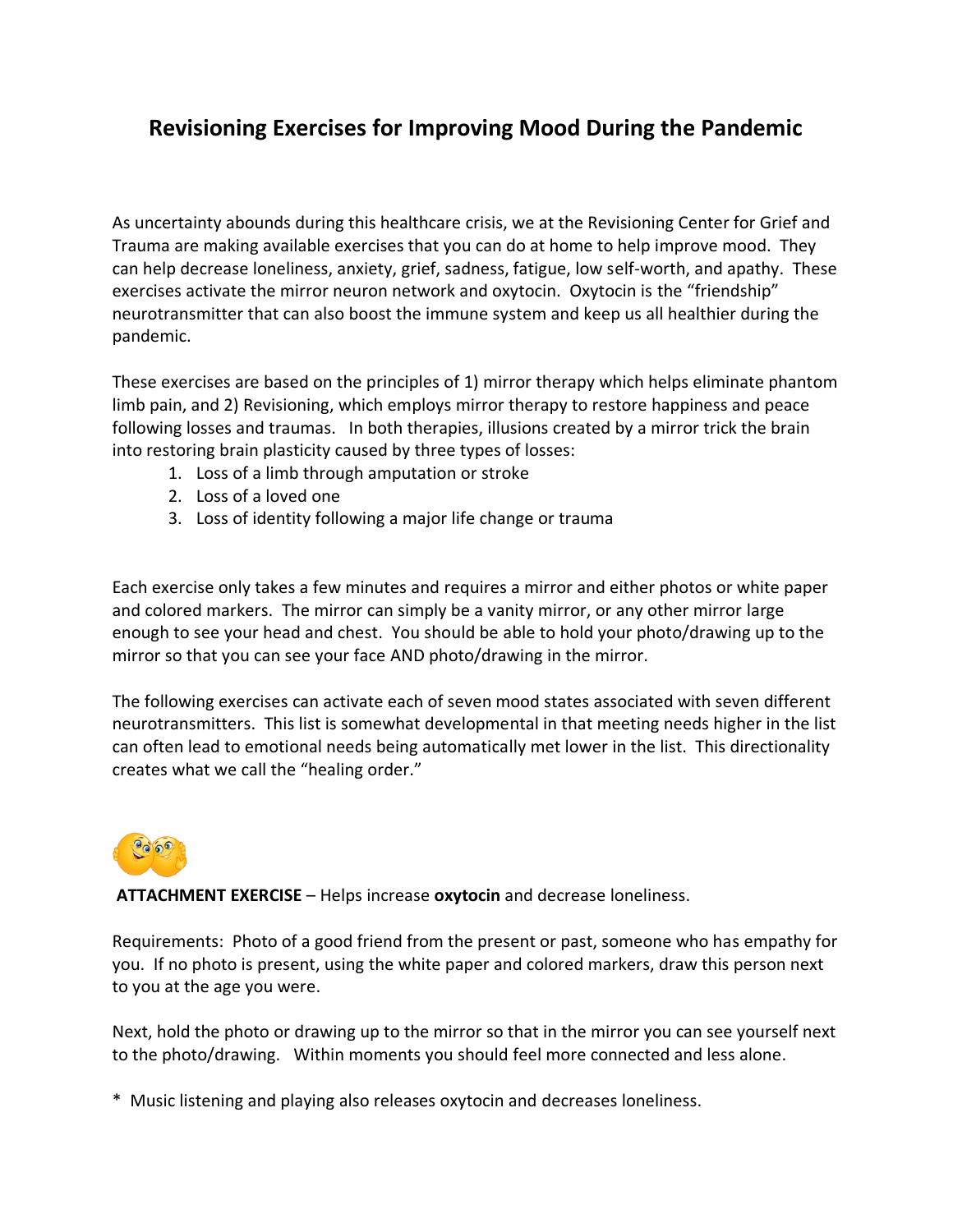## **Revisioning Exercises for Improving Mood During the Pandemic**

As uncertainty abounds during this healthcare crisis, we at the Revisioning Center for Grief and Trauma are making available exercises that you can do at home to help improve mood. They can help decrease loneliness, anxiety, grief, sadness, fatigue, low self-worth, and apathy. These exercises activate the mirror neuron network and oxytocin. Oxytocin is the "friendship" neurotransmitter that can also boost the immune system and keep us all healthier during the pandemic.

These exercises are based on the principles of 1) mirror therapy which helps eliminate phantom limb pain, and 2) Revisioning, which employs mirror therapy to restore happiness and peace following losses and traumas. In both therapies, illusions created by a mirror trick the brain into restoring brain plasticity caused by three types of losses:

- 1. Loss of a limb through amputation or stroke
- 2. Loss of a loved one
- 3. Loss of identity following a major life change or trauma

Each exercise only takes a few minutes and requires a mirror and either photos or white paper and colored markers. The mirror can simply be a vanity mirror, or any other mirror large enough to see your head and chest. You should be able to hold your photo/drawing up to the mirror so that you can see your face AND photo/drawing in the mirror.

The following exercises can activate each of seven mood states associated with seven different neurotransmitters. This list is somewhat developmental in that meeting needs higher in the list can often lead to emotional needs being automatically met lower in the list. This directionality creates what we call the "healing order."



**ATTACHMENT EXERCISE** – Helps increase **oxytocin** and decrease loneliness.

Requirements: Photo of a good friend from the present or past, someone who has empathy for you. If no photo is present, using the white paper and colored markers, draw this person next to you at the age you were.

Next, hold the photo or drawing up to the mirror so that in the mirror you can see yourself next to the photo/drawing. Within moments you should feel more connected and less alone.

\* Music listening and playing also releases oxytocin and decreases loneliness.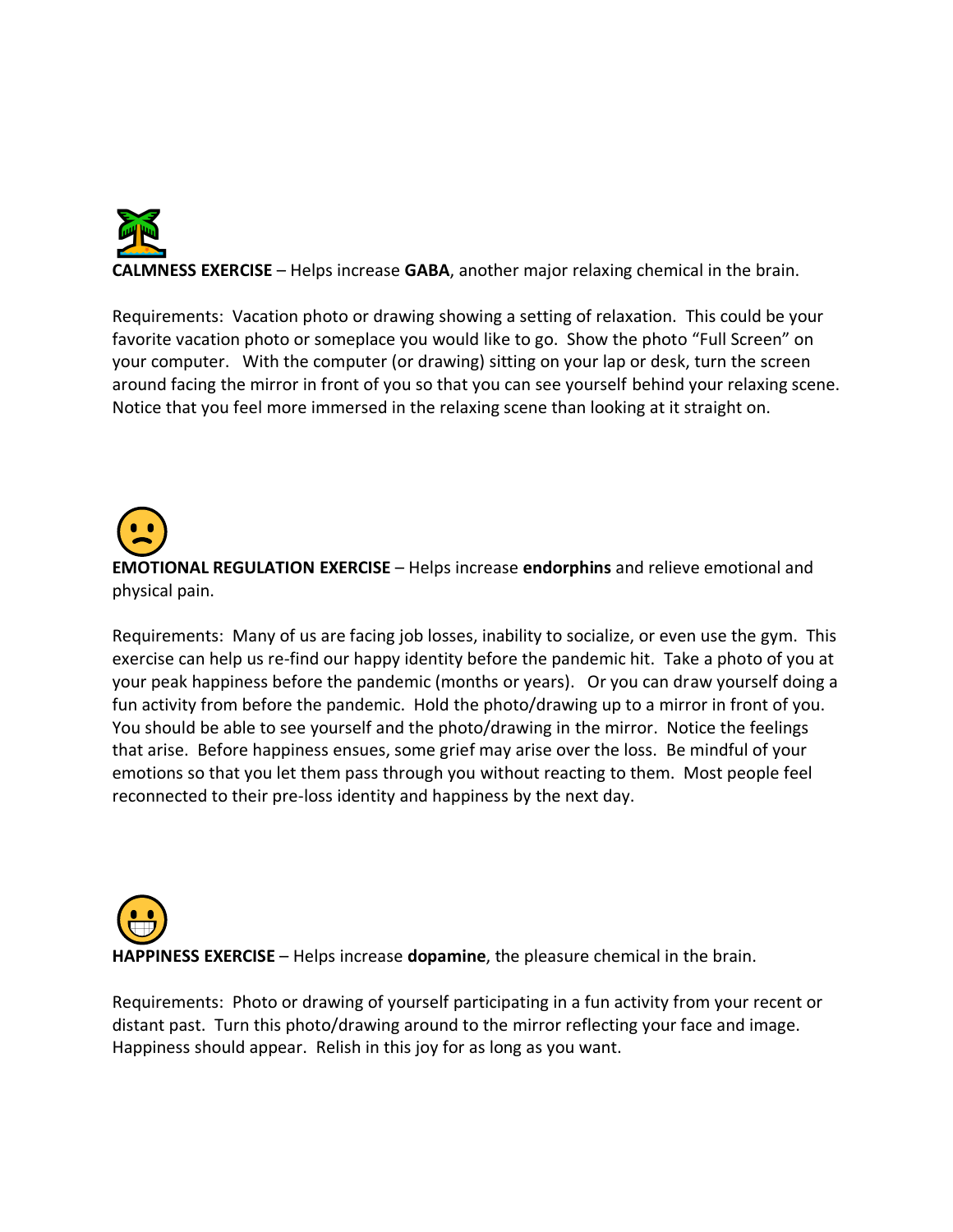

**CALMNESS EXERCISE** – Helps increase **GABA**, another major relaxing chemical in the brain.

Requirements: Vacation photo or drawing showing a setting of relaxation. This could be your favorite vacation photo or someplace you would like to go. Show the photo "Full Screen" on your computer. With the computer (or drawing) sitting on your lap or desk, turn the screen around facing the mirror in front of you so that you can see yourself behind your relaxing scene. Notice that you feel more immersed in the relaxing scene than looking at it straight on.

**EMOTIONAL REGULATION EXERCISE** – Helps increase **endorphins** and relieve emotional and physical pain.

Requirements: Many of us are facing job losses, inability to socialize, or even use the gym. This exercise can help us re-find our happy identity before the pandemic hit. Take a photo of you at your peak happiness before the pandemic (months or years). Or you can draw yourself doing a fun activity from before the pandemic. Hold the photo/drawing up to a mirror in front of you. You should be able to see yourself and the photo/drawing in the mirror. Notice the feelings that arise. Before happiness ensues, some grief may arise over the loss. Be mindful of your emotions so that you let them pass through you without reacting to them. Most people feel reconnected to their pre-loss identity and happiness by the next day.

**HAPPINESS EXERCISE** – Helps increase **dopamine**, the pleasure chemical in the brain.

Requirements: Photo or drawing of yourself participating in a fun activity from your recent or distant past. Turn this photo/drawing around to the mirror reflecting your face and image. Happiness should appear. Relish in this joy for as long as you want.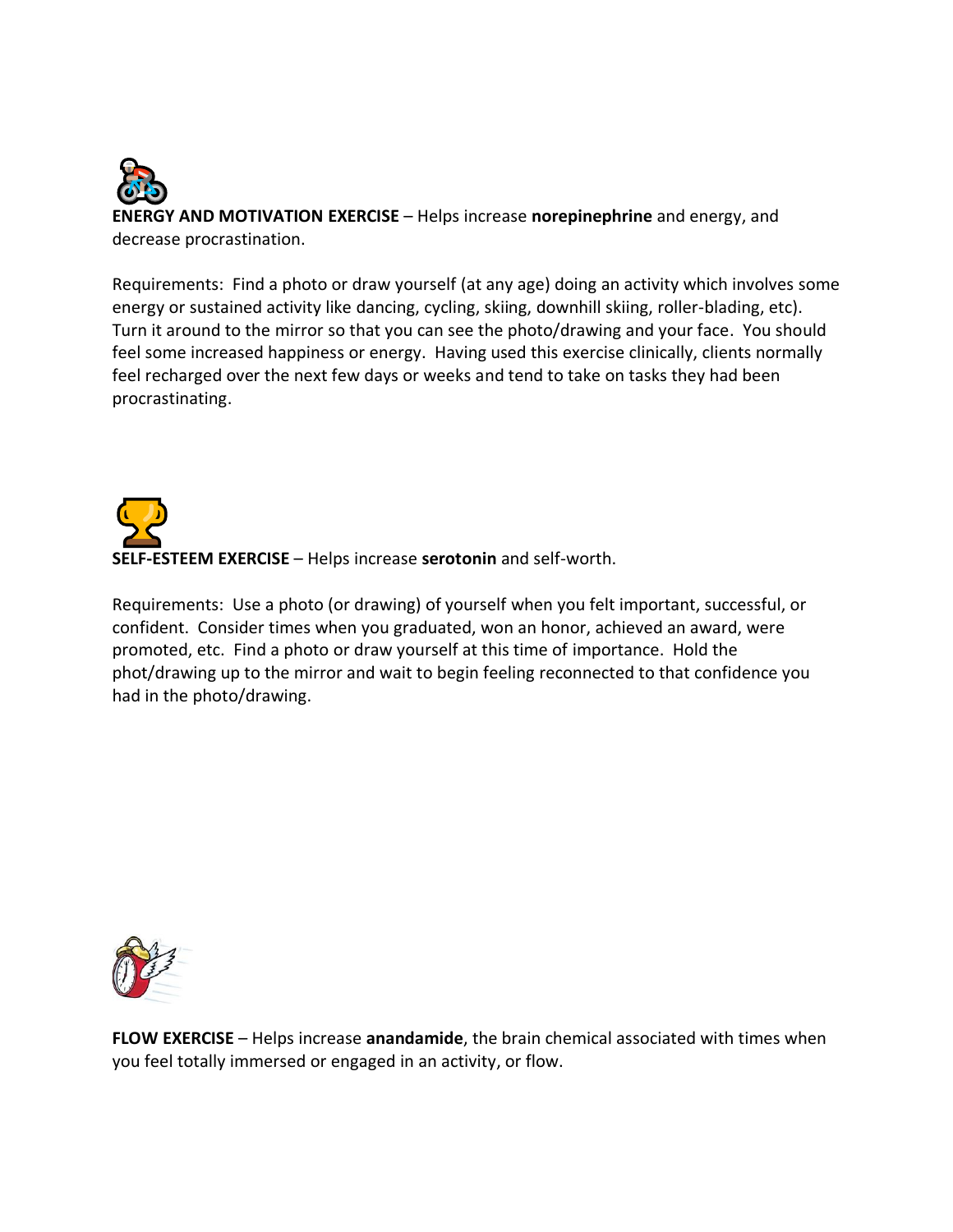

**ENERGY AND MOTIVATION EXERCISE** – Helps increase **norepinephrine** and energy, and decrease procrastination.

Requirements: Find a photo or draw yourself (at any age) doing an activity which involves some energy or sustained activity like dancing, cycling, skiing, downhill skiing, roller-blading, etc). Turn it around to the mirror so that you can see the photo/drawing and your face. You should feel some increased happiness or energy. Having used this exercise clinically, clients normally feel recharged over the next few days or weeks and tend to take on tasks they had been procrastinating.



Requirements: Use a photo (or drawing) of yourself when you felt important, successful, or confident. Consider times when you graduated, won an honor, achieved an award, were promoted, etc. Find a photo or draw yourself at this time of importance. Hold the phot/drawing up to the mirror and wait to begin feeling reconnected to that confidence you had in the photo/drawing.



**FLOW EXERCISE** – Helps increase **anandamide**, the brain chemical associated with times when you feel totally immersed or engaged in an activity, or flow.